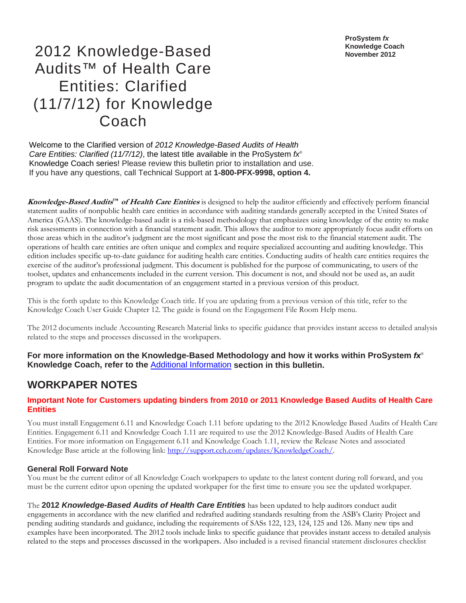**ProSystem** *fx* **Knowledge Coach November 2012** 

# 2012 Knowledge-Based Audits™ of Health Care Entities: Clarified (11/7/12) for Knowledge Coach

Welcome to the Clarified version of *2012 Knowledge-Based Audits of Health Care Entities: Clarified (11/7/12)*, the latest title available in the ProSystem *fx*® Knowledge Coach series! Please review this bulletin prior to installation and use. If you have any questions, call Technical Support at **1-800-PFX-9998, option 4.**

**Knowledge-Based Audits™ of Health Care Entities** is designed to help the auditor efficiently and effectively perform financial statement audits of nonpublic health care entities in accordance with auditing standards generally accepted in the United States of America (GAAS). The knowledge-based audit is a risk-based methodology that emphasizes using knowledge of the entity to make risk assessments in connection with a financial statement audit. This allows the auditor to more appropriately focus audit efforts on those areas which in the auditor's judgment are the most significant and pose the most risk to the financial statement audit. The operations of health care entities are often unique and complex and require specialized accounting and auditing knowledge. This edition includes specific up-to-date guidance for auditing health care entities. Conducting audits of health care entities requires the exercise of the auditor's professional judgment. This document is published for the purpose of communicating, to users of the toolset, updates and enhancements included in the current version. This document is not, and should not be used as, an audit program to update the audit documentation of an engagement started in a previous version of this product.

This is the forth update to this Knowledge Coach title. If you are updating from a previous version of this title, refer to the Knowledge Coach User Guide Chapter 12. The guide is found on the Engagement File Room Help menu.

The 2012 documents include Accounting Research Material links to specific guidance that provides instant access to detailed analysis related to the steps and processes discussed in the workpapers.

**For more information on the Knowledge-Based Methodology and how it works within ProSystem** *fx*® **Knowledge Coach, refer to the** Additional Information **section in this bulletin.** 

# **WORKPAPER NOTES**

#### **Important Note for Customers updating binders from 2010 or 2011 Knowledge Based Audits of Health Care Entities**

You must install Engagement 6.11 and Knowledge Coach 1.11 before updating to the 2012 Knowledge Based Audits of Health Care Entities. Engagement 6.11 and Knowledge Coach 1.11 are required to use the 2012 Knowledge-Based Audits of Health Care Entities. For more information on Engagement 6.11 and Knowledge Coach 1.11, review the Release Notes and associated Knowledge Base article at the following link: http://support.cch.com/updates/KnowledgeCoach/.

#### **General Roll Forward Note**

You must be the current editor of all Knowledge Coach workpapers to update to the latest content during roll forward, and you must be the current editor upon opening the updated workpaper for the first time to ensure you see the updated workpaper.

The **2012** *Knowledge-Based Audits of Health Care Entities* has been updated to help auditors conduct audit engagements in accordance with the new clarified and redrafted auditing standards resulting from the ASB's Clarity Project and pending auditing standards and guidance, including the requirements of SASs 122, 123, 124, 125 and 126. Many new tips and examples have been incorporated. The 2012 tools include links to specific guidance that provides instant access to detailed analysis related to the steps and processes discussed in the workpapers. Also included is a revised financial statement disclosures checklist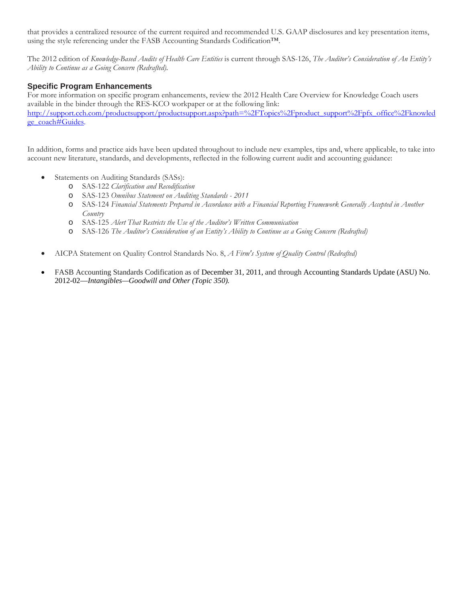that provides a centralized resource of the current required and recommended U.S. GAAP disclosures and key presentation items, using the style referencing under the FASB Accounting Standards Codification™.

The 2012 edition of *Knowledge-Based Audits of Health Care Entities* is current through SAS-126, *The Auditor's Consideration of An Entity's Ability to Continue as a Going Concern (Redrafted).*

### **Specific Program Enhancements**

For more information on specific program enhancements, review the 2012 Health Care Overview for Knowledge Coach users available in the binder through the RES-KCO workpaper or at the following link: http://support.cch.com/productsupport/productsupport.aspx?path=%2FTopics%2Fproduct\_support%2Fpfx\_office%2Fknowled ge\_coach#Guides.

In addition, forms and practice aids have been updated throughout to include new examples, tips and, where applicable, to take into account new literature, standards, and developments, reflected in the following current audit and accounting guidance:

- Statements on Auditing Standards (SASs):
	- o SAS-122 *Clarification and Recodification*
	- o SAS-123 *Omnibus Statement on Auditing Standards 2011*
	- o SAS-124 *Financial Statements Prepared in Accordance with a Financial Reporting Framework Generally Accepted in Another Country*
	- o SAS-125 *Alert That Restricts the Use of the Auditor's Written Communication*
	- o SAS-126 *The Auditor's Consideration of an Entity's Ability to Continue as a Going Concern (Redrafted)*
- AICPA Statement on Quality Control Standards No. 8, *A Firm's System of Quality Control (Redrafted)*
- FASB Accounting Standards Codification as of December 31, 2011, and through Accounting Standards Update (ASU) No. 2012-02—*Intangibles—Goodwill and Other (Topic 350).*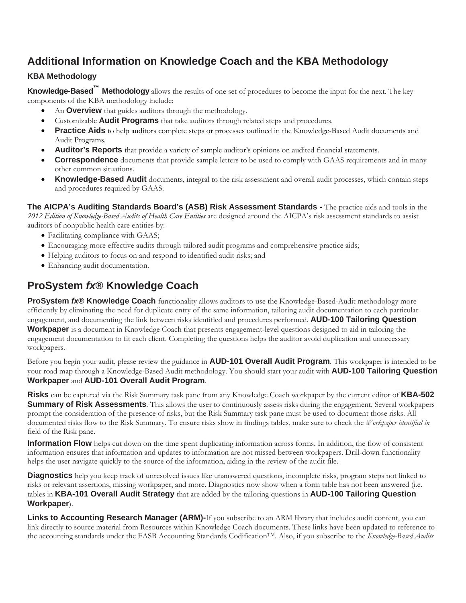# **Additional Information on Knowledge Coach and the KBA Methodology**

# **KBA Methodology**

**Knowledge-Based™ Methodology** allows the results of one set of procedures to become the input for the next. The key components of the KBA methodology include:

- An **Overview** that guides auditors through the methodology.
- Customizable **Audit Programs** that take auditors through related steps and procedures.
- **Practice Aids** to help auditors complete steps or processes outlined in the Knowledge-Based Audit documents and Audit Programs.
- **Auditor's Reports** that provide a variety of sample auditor's opinions on audited financial statements.
- **Correspondence** documents that provide sample letters to be used to comply with GAAS requirements and in many other common situations.
- **Knowledge-Based Audit** documents, integral to the risk assessment and overall audit processes, which contain steps and procedures required by GAAS.

**The AICPA's Auditing Standards Board's (ASB) Risk Assessment Standards -** The practice aids and tools in the *2012 Edition of Knowledge-Based Audits of Health Care Entities* are designed around the AICPA's risk assessment standards to assist auditors of nonpublic health care entities by:

- Facilitating compliance with GAAS;
- Encouraging more effective audits through tailored audit programs and comprehensive practice aids;
- Helping auditors to focus on and respond to identified audit risks; and
- Enhancing audit documentation.

# **ProSystem** *fx***® Knowledge Coach**

**ProSystem** *fx***® Knowledge Coach** functionality allows auditors to use the Knowledge-Based-Audit methodology more efficiently by eliminating the need for duplicate entry of the same information, tailoring audit documentation to each particular engagement, and documenting the link between risks identified and procedures performed. **AUD-100 Tailoring Question Workpaper** is a document in Knowledge Coach that presents engagement-level questions designed to aid in tailoring the engagement documentation to fit each client. Completing the questions helps the auditor avoid duplication and unnecessary workpapers.

Before you begin your audit, please review the guidance in **AUD-101 Overall Audit Program**. This workpaper is intended to be your road map through a Knowledge-Based Audit methodology. You should start your audit with **AUD-100 Tailoring Question Workpaper** and **AUD-101 Overall Audit Program**.

**Risks** can be captured via the Risk Summary task pane from any Knowledge Coach workpaper by the current editor of **KBA-502 Summary of Risk Assessments**. This allows the user to continuously assess risks during the engagement. Several workpapers prompt the consideration of the presence of risks, but the Risk Summary task pane must be used to document those risks. All documented risks flow to the Risk Summary. To ensure risks show in findings tables, make sure to check the *Workpaper identified in* field of the Risk pane.

**Information Flow** helps cut down on the time spent duplicating information across forms. In addition, the flow of consistent information ensures that information and updates to information are not missed between workpapers. Drill-down functionality helps the user navigate quickly to the source of the information, aiding in the review of the audit file.

**Diagnostics** help you keep track of unresolved issues like unanswered questions, incomplete risks, program steps not linked to risks or relevant assertions, missing workpaper, and more. Diagnostics now show when a form table has not been answered (i.e. tables in **KBA-101 Overall Audit Strategy** that are added by the tailoring questions in **AUD-100 Tailoring Question Workpaper**).

**Links to Accounting Research Manager (ARM)-**If you subscribe to an ARM library that includes audit content, you can link directly to source material from Resources within Knowledge Coach documents. These links have been updated to reference to the accounting standards under the FASB Accounting Standards CodificationTM. Also, if you subscribe to the *Knowledge-Based Audits*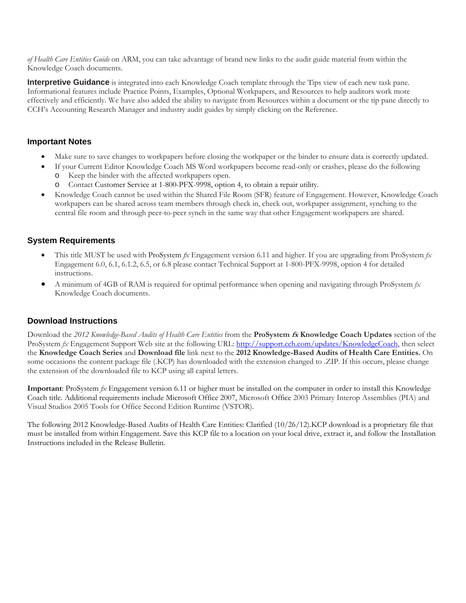*of Health Care Entities Guide* on ARM, you can take advantage of brand new links to the audit guide material from within the Knowledge Coach documents.

**Interpretive Guidance** is integrated into each Knowledge Coach template through the Tips view of each new task pane. Informational features include Practice Points, Examples, Optional Workpapers, and Resources to help auditors work more effectively and efficiently. We have also added the ability to navigate from Resources within a document or the tip pane directly to CCH's Accounting Research Manager and industry audit guides by simply clicking on the Reference.

#### **Important Notes**

- Make sure to save changes to workpapers before closing the workpaper or the binder to ensure data is correctly updated.
- If your Current Editor Knowledge Coach MS Word workpapers become read-only or crashes, please do the following
	- o Keep the binder with the affected workpapers open.
	- Contact Customer Service at 1-800-PFX-9998, option 4, to obtain a repair utility.
- Knowledge Coach cannot be used within the Shared File Room (SFR) feature of Engagement. However, Knowledge Coach workpapers can be shared across team members through check in, check out, workpaper assignment, synching to the central file room and through peer-to-peer synch in the same way that other Engagement workpapers are shared.

### **System Requirements**

- This title MUST be used with ProSystem *fx* Engagement version 6.11 and higher. If you are upgrading from ProSystem *fx*  Engagement 6.0, 6.1, 6.1.2, 6.5, or 6.8 please contact Technical Support at 1-800-PFX-9998, option 4 for detailed instructions.
- A minimum of 4GB of RAM is required for optimal performance when opening and navigating through ProSystem *fx*  Knowledge Coach documents.

### **Download Instructions**

Download the *2012 Knowledge-Based Audits of Health Care Entities* from the **ProSystem fx Knowledge Coach Updates** section of the ProSystem  $f_X$  Engagement Support Web site at the following URL: http://support.cch.com/updates/KnowledgeCoach, then select the **Knowledge Coach Series** and **Download file** link next to the **2012 Knowledge-Based Audits of Health Care Entities.** On some occasions the content package file (.KCP) has downloaded with the extension changed to .ZIP. If this occurs, please change the extension of the downloaded file to KCP using all capital letters.

**Important**: ProSystem *fx* Engagement version 6.11 or higher must be installed on the computer in order to install this Knowledge Coach title. Additional requirements include Microsoft Office 2007, Microsoft Office 2003 Primary Interop Assemblies (PIA) and Visual Studios 2005 Tools for Office Second Edition Runtime (VSTOR).

The following 2012 Knowledge-Based Audits of Health Care Entities: Clarified (10/26/12).KCP download is a proprietary file that must be installed from within Engagement. Save this KCP file to a location on your local drive, extract it, and follow the Installation Instructions included in the Release Bulletin.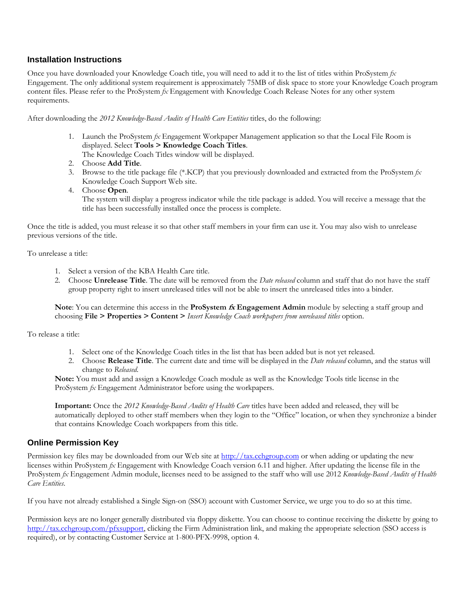#### **Installation Instructions**

Once you have downloaded your Knowledge Coach title, you will need to add it to the list of titles within ProSystem *fx*  Engagement. The only additional system requirement is approximately 75MB of disk space to store your Knowledge Coach program content files. Please refer to the ProSystem *fx* Engagement with Knowledge Coach Release Notes for any other system requirements.

After downloading the *2012 Knowledge-Based Audits of Health Care Entities* titles, do the following:

1. Launch the ProSystem *fx* Engagement Workpaper Management application so that the Local File Room is displayed. Select **Tools > Knowledge Coach Titles**.

The Knowledge Coach Titles window will be displayed.

- 2. Choose **Add Title**.
- 3. Browse to the title package file (\*.KCP) that you previously downloaded and extracted from the ProSystem *fx*  Knowledge Coach Support Web site.
- 4. Choose **Open**.

 The system will display a progress indicator while the title package is added. You will receive a message that the title has been successfully installed once the process is complete.

Once the title is added, you must release it so that other staff members in your firm can use it. You may also wish to unrelease previous versions of the title.

To unrelease a title:

- 1. Select a version of the KBA Health Care title.
- 2. Choose **Unrelease Title**. The date will be removed from the *Date released* column and staff that do not have the staff group property right to insert unreleased titles will not be able to insert the unreleased titles into a binder.

**Note**: You can determine this access in the **ProSystem fx Engagement Admin** module by selecting a staff group and choosing **File > Properties > Content >** *Insert Knowledge Coach workpapers from unreleased titles* option.

To release a title:

- 1. Select one of the Knowledge Coach titles in the list that has been added but is not yet released.
- 2. Choose **Release Title**. The current date and time will be displayed in the *Date released* column, and the status will change to *Released*.

**Note:** You must add and assign a Knowledge Coach module as well as the Knowledge Tools title license in the ProSystem *fx* Engagement Administrator before using the workpapers.

**Important:** Once the *2012 Knowledge-Based Audits of Health Care* titles have been added and released, they will be automatically deployed to other staff members when they login to the "Office" location, or when they synchronize a binder that contains Knowledge Coach workpapers from this title.

#### **Online Permission Key**

Permission key files may be downloaded from our Web site at http://tax.cchgroup.com or when adding or updating the new licenses within ProSystem *fx* Engagement with Knowledge Coach version 6.11 and higher. After updating the license file in the ProSystem *fx* Engagement Admin module, licenses need to be assigned to the staff who will use 2012 *Knowledge-Based Audits of Health Care Entities*.

If you have not already established a Single Sign-on (SSO) account with Customer Service, we urge you to do so at this time.

Permission keys are no longer generally distributed via floppy diskette. You can choose to continue receiving the diskette by going to http://tax.cchgroup.com/pfxsupport, clicking the Firm Administration link, and making the appropriate selection (SSO access is required), or by contacting Customer Service at 1-800-PFX-9998, option 4.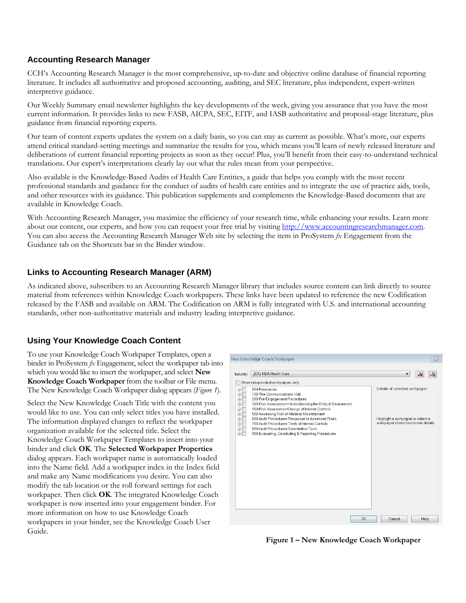### **Accounting Research Manager**

CCH's Accounting Research Manager is the most comprehensive, up-to-date and objective online database of financial reporting literature. It includes all authoritative and proposed accounting, auditing, and SEC literature, plus independent, expert-written interpretive guidance.

Our Weekly Summary email newsletter highlights the key developments of the week, giving you assurance that you have the most current information. It provides links to new FASB, AICPA, SEC, EITF, and IASB authoritative and proposal-stage literature, plus guidance from financial reporting experts.

Our team of content experts updates the system on a daily basis, so you can stay as current as possible. What's more, our experts attend critical standard-setting meetings and summarize the results for you, which means you'll learn of newly released literature and deliberations of current financial reporting projects as soon as they occur! Plus, you'll benefit from their easy-to-understand technical translations. Our expert's interpretations clearly lay out what the rules mean from your perspective.

Also available is the Knowledge-Based Audits of Health Care Entities, a guide that helps you comply with the most recent professional standards and guidance for the conduct of audits of health care entities and to integrate the use of practice aids, tools, and other resources with its guidance. This publication supplements and complements the Knowledge-Based documents that are available in Knowledge Coach.

With Accounting Research Manager, you maximize the efficiency of your research time, while enhancing your results. Learn more about our content, our experts, and how you can request your free trial by visiting http://www.accountingresearchmanager.com. You can also access the Accounting Research Manager Web site by selecting the item in ProSystem *fx* Engagement from the Guidance tab on the Shortcuts bar in the Binder window.

## **Links to Accounting Research Manager (ARM)**

As indicated above, subscribers to an Accounting Research Manager library that includes source content can link directly to source material from references within Knowledge Coach workpapers. These links have been updated to reference the new Codification released by the FASB and available on ARM. The Codification on ARM is fully integrated with U.S. and international accounting standards, other non-authoritative materials and industry leading interpretive guidance.

# **Using Your Knowledge Coach Content**

To use your Knowledge Coach Workpaper Templates, open a binder in ProSystem *fx* Engagement, select the workpaper tab into which you would like to insert the workpaper, and select **New Knowledge Coach Workpaper** from the toolbar or File menu. The New Knowledge Coach Workpaper dialog appears (*Figure 1*).

Select the New Knowledge Coach Title with the content you would like to use. You can only select titles you have installed. The information displayed changes to reflect the workpaper organization available for the selected title. Select the Knowledge Coach Workpaper Templates to insert into your binder and click **OK**. The **Selected Workpaper Properties** dialog appears. Each workpaper name is automatically loaded into the Name field. Add a workpaper index in the Index field and make any Name modifications you desire. You can also modify the tab location or the roll forward settings for each workpaper. Then click **OK**. The integrated Knowledge Coach workpaper is now inserted into your engagement binder. For more information on how to use Knowledge Coach workpapers in your binder, see the Knowledge Coach User Guide.



**Figure 1 – New Knowledge Coach Workpaper**